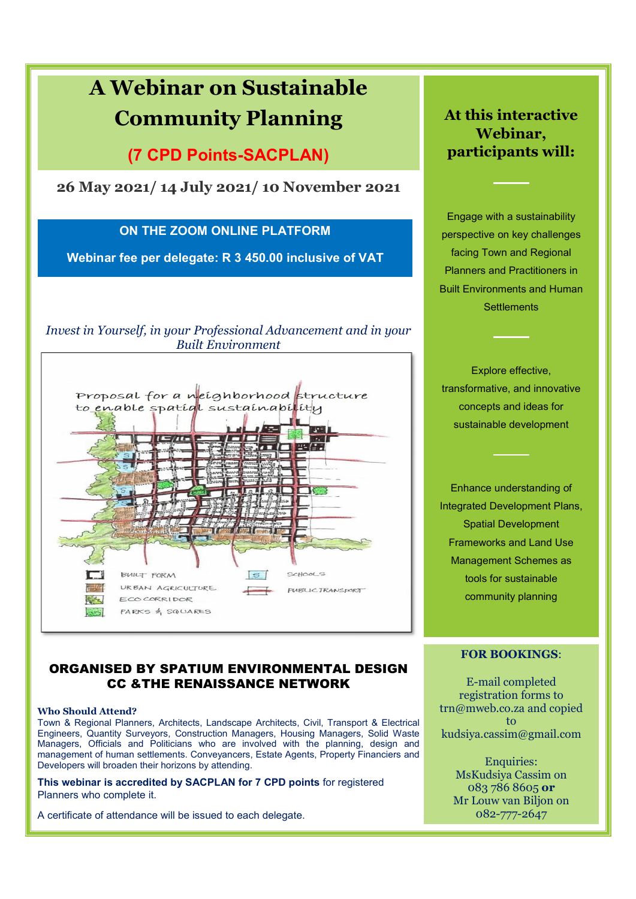

#### ORGANISED BY SPATIUM ENVIRONMENTAL DESIGN CC &THE RENAISSANCE NETWORK

#### **Who Should Attend?**

Town & Regional Planners, Architects, Landscape Architects, Civil, Transport & Electrical Engineers, Quantity Surveyors, Construction Managers, Housing Managers, Solid Waste Managers, Officials and Politicians who are involved with the planning, design and management of human settlements. Conveyancers, Estate Agents, Property Financiers and Developers will broaden their horizons by attending.

**This webinar is accredited by SACPLAN for 7 CPD points** for registered Planners who complete it.

A certificate of attendance will be issued to each delegate.

**FOR BOOKINGS**:

E-mail completed registration forms to trn@mweb.co.za and copied to kudsiya.cassim@gmail.com

> Enquiries: MsKudsiya Cassim on 083 786 8605 **or** Mr Louw van Biljon on 082-777-2647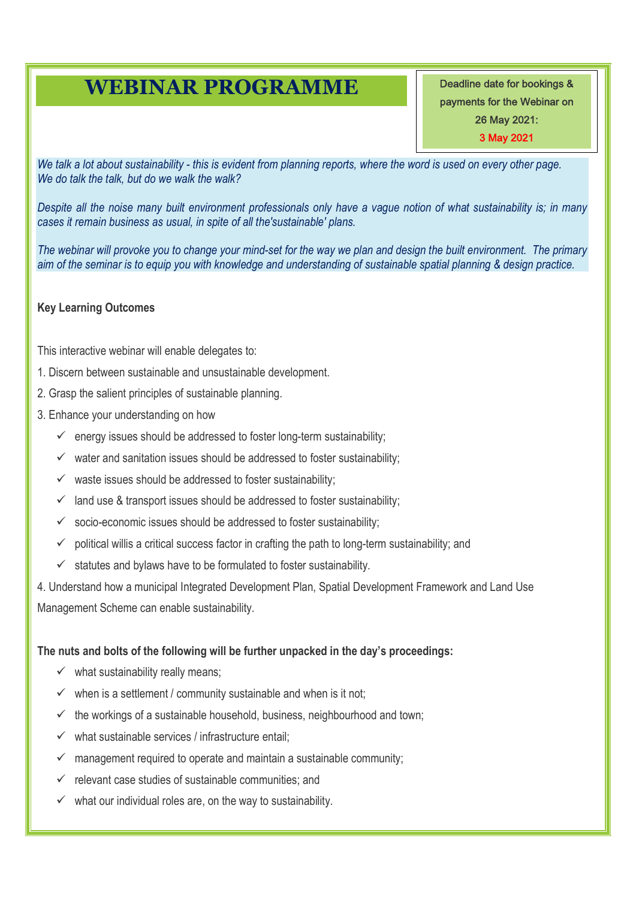## **WEBINAR PROGRAMME**

Deadline date for bookings & payments for the Webinar on 26 May 2021: 3 May 2021

*We talk a lot about sustainability - this is evident from planning reports, where the word is used on every other page. We do talk the talk, but do we walk the walk?*

*Despite all the noise many built environment professionals only have a vague notion of what sustainability is; in many cases it remain business as usual, in spite of all the'sustainable' plans.*

*The webinar will provoke you to change your mind-set for the way we plan and design the built environment. The primary aim of the seminar is to equip you with knowledge and understanding of sustainable spatial planning & design practice.*

#### **Key Learning Outcomes**

This interactive webinar will enable delegates to:

- 1. Discern between sustainable and unsustainable development.
- 2. Grasp the salient principles of sustainable planning.
- 3. Enhance your understanding on how
	- $\checkmark$  energy issues should be addressed to foster long-term sustainability;
	- $\checkmark$  water and sanitation issues should be addressed to foster sustainability;
	- $\checkmark$  waste issues should be addressed to foster sustainability;
	- $\checkmark$  land use & transport issues should be addressed to foster sustainability;
	- $\checkmark$  socio-economic issues should be addressed to foster sustainability;
	- $\checkmark$  political willis a critical success factor in crafting the path to long-term sustainability; and
	- $\checkmark$  statutes and bylaws have to be formulated to foster sustainability.

4. Understand how a municipal Integrated Development Plan, Spatial Development Framework and Land Use Management Scheme can enable sustainability.

#### **The nuts and bolts of the following will be further unpacked in the day's proceedings:**

- $\checkmark$  what sustainability really means;
- $\checkmark$  when is a settlement / community sustainable and when is it not;
- $\checkmark$  the workings of a sustainable household, business, neighbourhood and town;
- $\checkmark$  what sustainable services / infrastructure entail;
- management required to operate and maintain a sustainable community;
- $\checkmark$  relevant case studies of sustainable communities; and
- $\checkmark$  what our individual roles are, on the way to sustainability.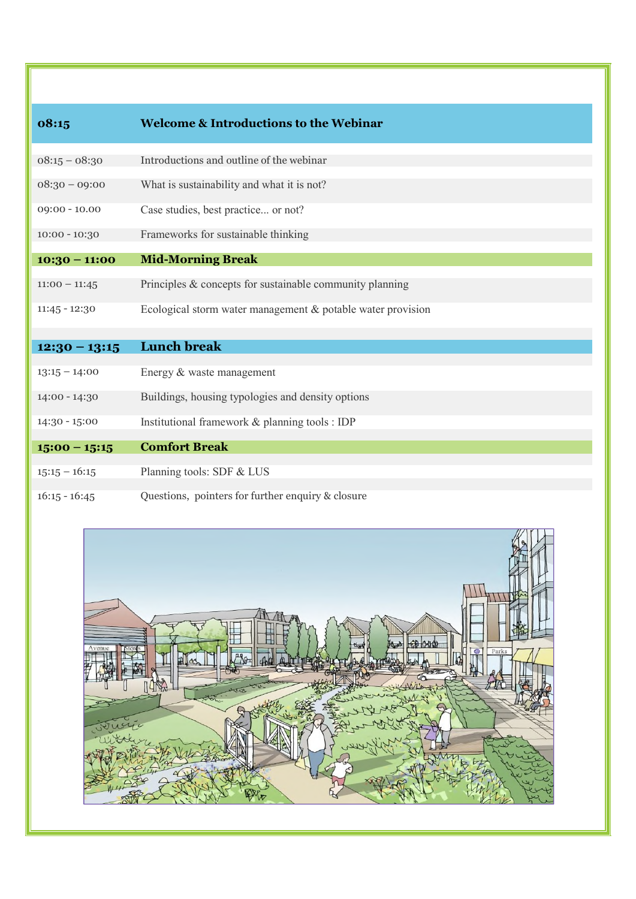| 08:15           | <b>Welcome &amp; Introductions to the Webinar</b>           |  |  |  |  |  |  |
|-----------------|-------------------------------------------------------------|--|--|--|--|--|--|
| $08:15 - 08:30$ | Introductions and outline of the webinar                    |  |  |  |  |  |  |
| $08:30 - 09:00$ | What is sustainability and what it is not?                  |  |  |  |  |  |  |
| $09:00 - 10.00$ | Case studies, best practice or not?                         |  |  |  |  |  |  |
| $10:00 - 10:30$ | Frameworks for sustainable thinking                         |  |  |  |  |  |  |
| $10:30 - 11:00$ | <b>Mid-Morning Break</b>                                    |  |  |  |  |  |  |
| $11:00 - 11:45$ | Principles & concepts for sustainable community planning    |  |  |  |  |  |  |
| $11:45 - 12:30$ | Ecological storm water management & potable water provision |  |  |  |  |  |  |
|                 |                                                             |  |  |  |  |  |  |
| $12:30 - 13:15$ | <b>Lunch break</b>                                          |  |  |  |  |  |  |
| $13:15 - 14:00$ | Energy & waste management                                   |  |  |  |  |  |  |
| $14:00 - 14:30$ | Buildings, housing typologies and density options           |  |  |  |  |  |  |
| $14:30 - 15:00$ | Institutional framework & planning tools : IDP              |  |  |  |  |  |  |
| $15:00 - 15:15$ | <b>Comfort Break</b>                                        |  |  |  |  |  |  |
| $15:15 - 16:15$ | Planning tools: SDF & LUS                                   |  |  |  |  |  |  |
| $16:15 - 16:45$ | Questions, pointers for further enquiry & closure           |  |  |  |  |  |  |

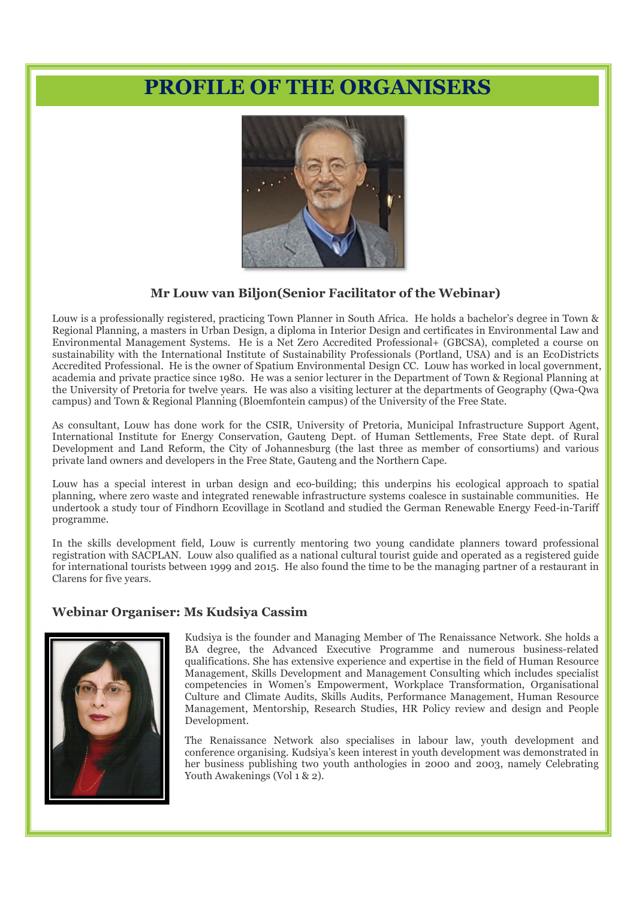## **PROFILE OF THE ORGANISERS**



#### **Mr Louw van Biljon(Senior Facilitator of the Webinar)**

Louw is a professionally registered, practicing Town Planner in South Africa. He holds a bachelor's degree in Town & Regional Planning, a masters in Urban Design, a diploma in Interior Design and certificates in Environmental Law and Environmental Management Systems. He is a Net Zero Accredited Professional+ (GBCSA), completed a course on sustainability with the International Institute of Sustainability Professionals (Portland, USA) and is an EcoDistricts Accredited Professional. He is the owner of Spatium Environmental Design CC. Louw has worked in local government, academia and private practice since 1980. He was a senior lecturer in the Department of Town & Regional Planning at the University of Pretoria for twelve years. He was also a visiting lecturer at the departments of Geography (Qwa-Qwa campus) and Town & Regional Planning (Bloemfontein campus) of the University of the Free State.

As consultant, Louw has done work for the CSIR, University of Pretoria, Municipal Infrastructure Support Agent, International Institute for Energy Conservation, Gauteng Dept. of Human Settlements, Free State dept. of Rural Development and Land Reform, the City of Johannesburg (the last three as member of consortiums) and various private land owners and developers in the Free State, Gauteng and the Northern Cape.

Louw has a special interest in urban design and eco-building; this underpins his ecological approach to spatial planning, where zero waste and integrated renewable infrastructure systems coalesce in sustainable communities. He undertook a study tour of Findhorn Ecovillage in Scotland and studied the German Renewable Energy Feed-in-Tariff programme.

In the skills development field, Louw is currently mentoring two young candidate planners toward professional registration with SACPLAN. Louw also qualified as a national cultural tourist guide and operated as a registered guide for international tourists between 1999 and 2015. He also found the time to be the managing partner of a restaurant in Clarens for five years.

#### **Webinar Organiser: Ms Kudsiya Cassim**



Kudsiya is the founder and Managing Member of The Renaissance Network. She holds a BA degree, the Advanced Executive Programme and numerous business-related qualifications. She has extensive experience and expertise in the field of Human Resource Management, Skills Development and Management Consulting which includes specialist competencies in Women's Empowerment, Workplace Transformation, Organisational Culture and Climate Audits, Skills Audits, Performance Management, Human Resource Management, Mentorship, Research Studies, HR Policy review and design and People Development.

The Renaissance Network also specialises in labour law, youth development and conference organising. Kudsiya's keen interest in youth development was demonstrated in her business publishing two youth anthologies in 2000 and 2003, namely Celebrating Youth Awakenings (Vol 1 & 2).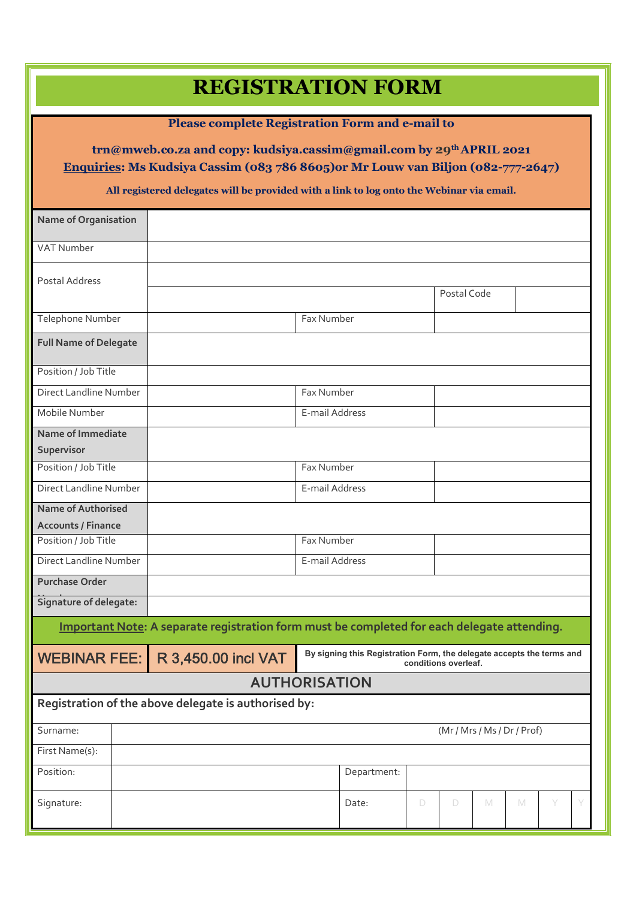# **REGISTRATION FORM**

### **Please complete Registration Form and e-mail to**

### **trn@mweb.co.za and copy: kudsiya.cassim@gmail.com by 29th APRIL 2021 Enquiries: Ms Kudsiya Cassim (083 786 8605)or Mr Louw van Biljon (082-777-2647)**

#### **All registered delegates will be provided with a link to log onto the Webinar via email.**

| <b>Name of Organisation</b>                                                                 |  |                                                                                                                      |                      |                |            |   |             |             |   |   |  |  |  |
|---------------------------------------------------------------------------------------------|--|----------------------------------------------------------------------------------------------------------------------|----------------------|----------------|------------|---|-------------|-------------|---|---|--|--|--|
| VAT Number                                                                                  |  |                                                                                                                      |                      |                |            |   |             |             |   |   |  |  |  |
| Postal Address                                                                              |  |                                                                                                                      |                      |                |            |   |             |             |   |   |  |  |  |
|                                                                                             |  |                                                                                                                      |                      |                |            |   | Postal Code |             |   |   |  |  |  |
| Telephone Number                                                                            |  |                                                                                                                      |                      | Fax Number     |            |   |             |             |   |   |  |  |  |
| <b>Full Name of Delegate</b>                                                                |  |                                                                                                                      |                      |                |            |   |             |             |   |   |  |  |  |
| Position / Job Title                                                                        |  |                                                                                                                      |                      |                |            |   |             |             |   |   |  |  |  |
| Direct Landline Number                                                                      |  |                                                                                                                      |                      |                | Fax Number |   |             |             |   |   |  |  |  |
| Mobile Number                                                                               |  |                                                                                                                      |                      | E-mail Address |            |   |             |             |   |   |  |  |  |
| Name of Immediate                                                                           |  |                                                                                                                      |                      |                |            |   |             |             |   |   |  |  |  |
| Supervisor                                                                                  |  |                                                                                                                      |                      |                |            |   |             |             |   |   |  |  |  |
| Position / Job Title                                                                        |  |                                                                                                                      |                      | Fax Number     |            |   |             |             |   |   |  |  |  |
| Direct Landline Number                                                                      |  |                                                                                                                      |                      | E-mail Address |            |   |             |             |   |   |  |  |  |
| <b>Name of Authorised</b>                                                                   |  |                                                                                                                      |                      |                |            |   |             |             |   |   |  |  |  |
| <b>Accounts / Finance</b>                                                                   |  |                                                                                                                      |                      |                |            |   |             |             |   |   |  |  |  |
| Position / Job Title                                                                        |  | Fax Number                                                                                                           |                      |                |            |   |             |             |   |   |  |  |  |
| Direct Landline Number                                                                      |  |                                                                                                                      |                      | E-mail Address |            |   |             |             |   |   |  |  |  |
| <b>Purchase Order</b>                                                                       |  |                                                                                                                      |                      |                |            |   |             |             |   |   |  |  |  |
| Signature of delegate:                                                                      |  |                                                                                                                      |                      |                |            |   |             |             |   |   |  |  |  |
| Important Note: A separate registration form must be completed for each delegate attending. |  |                                                                                                                      |                      |                |            |   |             |             |   |   |  |  |  |
| <b>WEBINAR FEE:</b>                                                                         |  | By signing this Registration Form, the delegate accepts the terms and<br>R 3,450.00 incl VAT<br>conditions overleaf. |                      |                |            |   |             |             |   |   |  |  |  |
|                                                                                             |  |                                                                                                                      | <b>AUTHORISATION</b> |                |            |   |             |             |   |   |  |  |  |
| Registration of the above delegate is authorised by:                                        |  |                                                                                                                      |                      |                |            |   |             |             |   |   |  |  |  |
| Surname:                                                                                    |  | (Mr / Mrs / Ms / Dr / Prof)                                                                                          |                      |                |            |   |             |             |   |   |  |  |  |
| First Name(s):                                                                              |  |                                                                                                                      |                      |                |            |   |             |             |   |   |  |  |  |
| Position:                                                                                   |  | Department:                                                                                                          |                      |                |            |   |             |             |   |   |  |  |  |
| Signature:                                                                                  |  |                                                                                                                      |                      |                | Date:      | D | $\Box$      | $\mathbb M$ | M | Y |  |  |  |